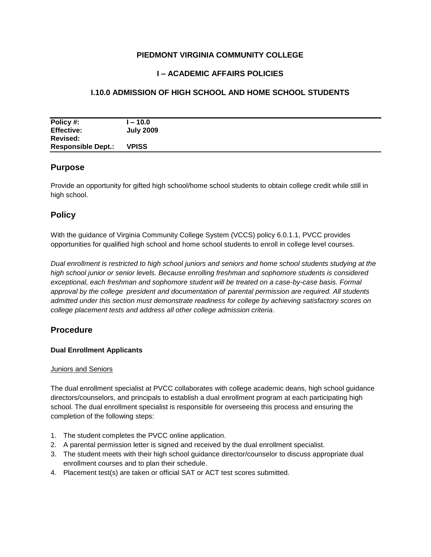## **PIEDMONT VIRGINIA COMMUNITY COLLEGE**

# **I – ACADEMIC AFFAIRS POLICIES**

# **I.10.0 ADMISSION OF HIGH SCHOOL AND HOME SCHOOL STUDENTS**

| Policy #:                 | $-10.0$          |
|---------------------------|------------------|
| <b>Effective:</b>         | <b>July 2009</b> |
| Revised:                  |                  |
| <b>Responsible Dept.:</b> | <b>VPISS</b>     |

## **Purpose**

Provide an opportunity for gifted high school/home school students to obtain college credit while still in high school.

## **Policy**

With the guidance of Virginia Community College System (VCCS) policy 6.0.1.1, PVCC provides opportunities for qualified high school and home school students to enroll in college level courses.

*Dual enrollment is restricted to high school juniors and seniors and home school students studying at the high school junior or senior levels. Because enrolling freshman and sophomore students is considered exceptional, each freshman and sophomore student will be treated on a case-by-case basis. Formal approval by the college president and documentation of parental permission are required. All students admitted under this section must demonstrate readiness for college by achieving satisfactory scores on college placement tests and address all other college admission criteria*.

# **Procedure**

### **Dual Enrollment Applicants**

#### Juniors and Seniors

The dual enrollment specialist at PVCC collaborates with college academic deans, high school guidance directors/counselors, and principals to establish a dual enrollment program at each participating high school. The dual enrollment specialist is responsible for overseeing this process and ensuring the completion of the following steps:

- 1. The student completes the PVCC online application.
- 2. A parental permission letter is signed and received by the dual enrollment specialist.
- 3. The student meets with their high school guidance director/counselor to discuss appropriate dual enrollment courses and to plan their schedule.
- 4. Placement test(s) are taken or official SAT or ACT test scores submitted.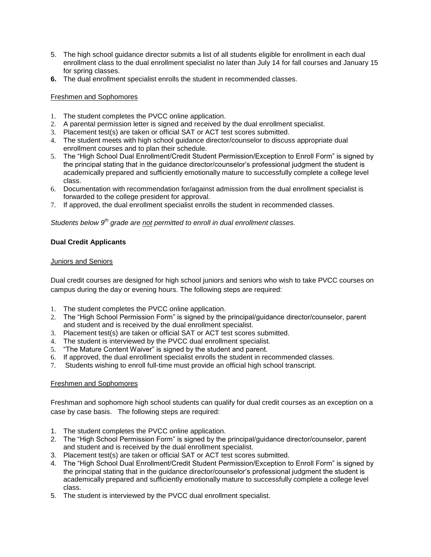- 5. The high school guidance director submits a list of all students eligible for enrollment in each dual enrollment class to the dual enrollment specialist no later than July 14 for fall courses and January 15 for spring classes.
- **6.** The dual enrollment specialist enrolls the student in recommended classes.

### Freshmen and Sophomores

- 1. The student completes the PVCC online application.
- 2. A parental permission letter is signed and received by the dual enrollment specialist.
- 3. Placement test(s) are taken or official SAT or ACT test scores submitted.
- 4. The student meets with high school guidance director/counselor to discuss appropriate dual enrollment courses and to plan their schedule.
- 5. The "High School Dual Enrollment/Credit Student Permission/Exception to Enroll Form" is signed by the principal stating that in the guidance director/counselor's professional judgment the student is academically prepared and sufficiently emotionally mature to successfully complete a college level class.
- 6. Documentation with recommendation for/against admission from the dual enrollment specialist is forwarded to the college president for approval.
- 7. If approved, the dual enrollment specialist enrolls the student in recommended classes.

*Students below 9th grade are not permitted to enroll in dual enrollment classes.*

### **Dual Credit Applicants**

#### Juniors and Seniors

Dual credit courses are designed for high school juniors and seniors who wish to take PVCC courses on campus during the day or evening hours. The following steps are required:

- 1. The student completes the PVCC online application.
- 2. The "High School Permission Form" is signed by the principal/guidance director/counselor, parent and student and is received by the dual enrollment specialist.
- 3. Placement test(s) are taken or official SAT or ACT test scores submitted.
- 4. The student is interviewed by the PVCC dual enrollment specialist.
- 5. "The Mature Content Waiver" is signed by the student and parent.
- 6. If approved, the dual enrollment specialist enrolls the student in recommended classes.
- 7. Students wishing to enroll full-time must provide an official high school transcript.

#### Freshmen and Sophomores

Freshman and sophomore high school students can qualify for dual credit courses as an exception on a case by case basis. The following steps are required:

- 1. The student completes the PVCC online application.
- 2. The "High School Permission Form" is signed by the principal/guidance director/counselor, parent and student and is received by the dual enrollment specialist.
- 3. Placement test(s) are taken or official SAT or ACT test scores submitted.
- 4. The "High School Dual Enrollment/Credit Student Permission/Exception to Enroll Form" is signed by the principal stating that in the guidance director/counselor's professional judgment the student is academically prepared and sufficiently emotionally mature to successfully complete a college level class.
- 5. The student is interviewed by the PVCC dual enrollment specialist.